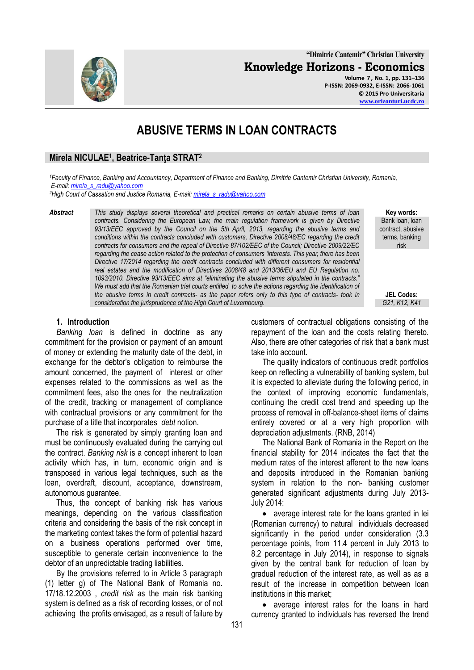**"Dimitrie Cantemir" Christian University Knowledge Horizons - Economics**

> **Volume 7 , No. 1, pp. 131–136 P-ISSN: 2069-0932, E-ISSN: 2066-1061 © 2015 Pro Universitaria [www.orizonturi.ucdc.ro](http://www.orizonturi.ucdc.ro/)**

# **ABUSIVE TERMS IN LOAN CONTRACTS**

# **Mirela NICULAE<sup>1</sup> , Beatrice-Tanţa STRAT<sup>2</sup>**

*<sup>1</sup>Faculty of Finance, Banking and Accountancy, Department of Finance and Banking, Dimitrie Cantemir Christian University, Romania, E-mail: [mirela\\_s\\_radu@yahoo.com](mailto:mirela_s_radu@yahoo.com)*

*<sup>2</sup>High Court of Cassation and Justice Romania, E-mail[: mirela\\_s\\_radu@yahoo.com](mailto:mirela_s_radu@yahoo.com)*

*Abstract This study displays several theoretical and practical remarks on certain abusive terms of loan contracts. Considering the European Law, the main regulation framework is given by Directive 93/13/EEC approved by the Council on the 5th April, 2013, regarding the abusive terms and*  conditions within the contracts concluded with customers, Directive 2008/48/EC regarding the credit *contracts for consumers and the repeal of Directive 87/102/EEC of the Council; Directive 2009/22/EC regarding the cease action related to the protection of consumers "interests. This year, there has been Directive 17/2014 regarding the credit contracts concluded with different consumers for residential*  real estates and the modification of Directives 2008/48 and 2013/36/EU and EU Regulation no. *1093/2010. Directive 93/13/EEC aims at "eliminating the abusive terms stipulated in the contracts." We must add that the Romanian trial courts entitled to solve the actions regarding the identification of the abusive terms in credit contracts- as the paper refers only to this type of contracts- took in consideration the jurisprudence of the High Court of Luxembourg.* 

#### **1. Introduction**

*Banking loan* is defined in doctrine as any commitment for the provision or payment of an amount of money or extending the maturity date of the debt, in exchange for the debtor's obligation to reimburse the amount concerned, the payment of interest or other expenses related to the commissions as well as the commitment fees, also the ones for the neutralization of the credit, tracking or management of compliance with contractual provisions or any commitment for the purchase of a title that incorporates *debt* notion.

The risk is generated by simply granting loan and must be continuously evaluated during the carrying out the contract. *Banking risk* is a concept inherent to loan activity which has, in turn, economic origin and is transposed in various legal techniques, such as the loan, overdraft, discount, acceptance, downstream, autonomous guarantee.

Thus, the concept of banking risk has various meanings, depending on the various classification criteria and considering the basis of the risk concept in the marketing context takes the form of potential hazard on a business operations performed over time, susceptible to generate certain inconvenience to the debtor of an unpredictable trading liabilities.

By the provisions referred to in Article 3 paragraph (1) letter g) of The National Bank of Romania no. 17/18.12.2003 , *credit risk* as the main risk banking system is defined as a risk of recording losses, or of not achieving the profits envisaged, as a result of failure by

customers of contractual obligations consisting of the repayment of the loan and the costs relating thereto. Also, there are other categories of risk that a bank must take into account.

The quality indicators of continuous credit portfolios keep on reflecting a vulnerability of banking system, but it is expected to alleviate during the following period, in the context of improving economic fundamentals, continuing the credit cost trend and speeding up the process of removal in off-balance-sheet items of claims entirely covered or at a very high proportion with depreciation adjustments. (RNB, 2014)

The National Bank of Romania in the Report on the financial stability for 2014 indicates the fact that the medium rates of the interest afferent to the new loans and deposits introduced in the Romanian banking system in relation to the non- banking customer generated significant adjustments during July 2013- July 2014:

average interest rate for the loans granted in lei (Romanian currency) to natural individuals decreased significantly in the period under consideration (3.3 percentage points, from 11.4 percent in July 2013 to 8.2 percentage in July 2014), in response to signals given by the central bank for reduction of loan by gradual reduction of the interest rate, as well as as a result of the increase in competition between loan institutions in this market;

average interest rates for the loans in hard currency granted to individuals has reversed the trend

**Key words:** Bank loan, loan contract, abusive terms, banking risk

**JEL Codes:**

*G21, K12, K41*

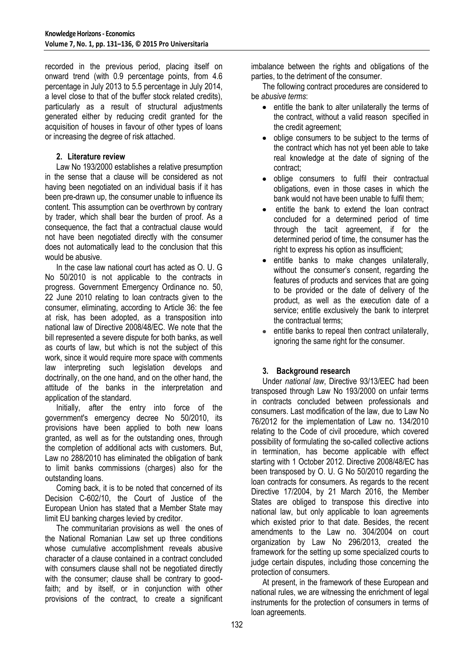recorded in the previous period, placing itself on onward trend (with 0.9 percentage points, from 4.6 percentage in July 2013 to 5.5 percentage in July 2014, a level close to that of the buffer stock related credits), particularly as a result of structural adjustments generated either by reducing credit granted for the acquisition of houses in favour of other types of loans or increasing the degree of risk attached.

# **2. Literature review**

Law No 193/2000 establishes a relative presumption in the sense that a clause will be considered as not having been negotiated on an individual basis if it has been pre-drawn up, the consumer unable to influence its content. This assumption can be overthrown by contrary by trader, which shall bear the burden of proof. As a consequence, the fact that a contractual clause would not have been negotiated directly with the consumer does not automatically lead to the conclusion that this would be abusive.

In the case law national court has acted as O. U. G No 50/2010 is not applicable to the contracts in progress. Government Emergency Ordinance no. 50, 22 June 2010 relating to loan contracts given to the consumer, eliminating, according to Article 36: the fee at risk, has been adopted, as a transposition into national law of Directive 2008/48/EC. We note that the bill represented a severe dispute for both banks, as well as courts of law, but which is not the subject of this work, since it would require more space with comments law interpreting such legislation develops and doctrinally, on the one hand, and on the other hand, the attitude of the banks in the interpretation and application of the standard.

Initially, after the entry into force of the government's emergency decree No 50/2010, its provisions have been applied to both new loans granted, as well as for the outstanding ones, through the completion of additional acts with customers. But, Law no 288/2010 has eliminated the obligation of bank to limit banks commissions (charges) also for the outstanding loans.

Coming back, it is to be noted that concerned of its Decision C-602/10, the Court of Justice of the European Union has stated that a Member State may limit EU banking charges levied by creditor.

The communitarian provisions as well the ones of the National Romanian Law set up three conditions whose cumulative accomplishment reveals abusive character of a clause contained in a contract concluded with consumers clause shall not be negotiated directly with the consumer; clause shall be contrary to goodfaith; and by itself, or in conjunction with other provisions of the contract, to create a significant imbalance between the rights and obligations of the parties, to the detriment of the consumer.

The following contract procedures are considered to be *abusive terms*:

- entitle the bank to alter unilaterally the terms of the contract, without a valid reason specified in the credit agreement;
- oblige consumers to be subject to the terms of the contract which has not yet been able to take real knowledge at the date of signing of the contract;
- oblige consumers to fulfil their contractual obligations, even in those cases in which the bank would not have been unable to fulfil them;
- entitle the bank to extend the loan contract  $\bullet$ concluded for a determined period of time through the tacit agreement, if for the determined period of time, the consumer has the right to express his option as insufficient;
- entitle banks to make changes unilaterally,  $\bullet$ without the consumer's consent, regarding the features of products and services that are going to be provided or the date of delivery of the product, as well as the execution date of a service; entitle exclusively the bank to interpret the contractual terms;
- entitle banks to repeal then contract unilaterally,  $\bullet$ ignoring the same right for the consumer.

# **3. Background research**

Under *national law*, Directive 93/13/EEC had been transposed through Law No 193/2000 on unfair terms in contracts concluded between professionals and consumers. Last modification of the law, due to Law No 76/2012 for the implementation of Law no. 134/2010 relating to the Code of civil procedure, which covered possibility of formulating the so-called collective actions in termination, has become applicable with effect starting with 1 October 2012. Directive 2008/48/EC has been transposed by O. U. G No 50/2010 regarding the loan contracts for consumers. As regards to the recent Directive 17/2004, by 21 March 2016, the Member States are obliged to transpose this directive into national law, but only applicable to loan agreements which existed prior to that date. Besides, the recent amendments to the Law no. 304/2004 on court organization by Law No 296/2013, created the framework for the setting up some specialized courts to judge certain disputes, including those concerning the protection of consumers.

At present, in the framework of these European and national rules, we are witnessing the enrichment of legal instruments for the protection of consumers in terms of loan agreements.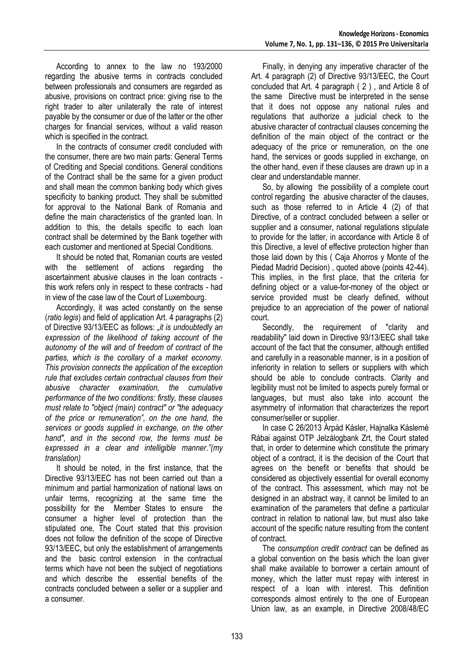According to annex to the law no 193/2000 regarding the abusive terms in contracts concluded between professionals and consumers are regarded as abusive, provisions on contract price: giving rise to the right trader to alter unilaterally the rate of interest payable by the consumer or due of the latter or the other charges for financial services, without a valid reason which is specified in the contract.

In the contracts of consumer credit concluded with the consumer, there are two main parts: General Terms of Crediting and Special conditions. General conditions of the Contract shall be the same for a given product and shall mean the common banking body which gives specificity to banking product. They shall be submitted for approval to the National Bank of Romania and define the main characteristics of the granted loan. In addition to this, the details specific to each loan contract shall be determined by the Bank together with each customer and mentioned at Special Conditions.

It should be noted that, Romanian courts are vested with the settlement of actions regarding the ascertainment abusive clauses in the loan contracts this work refers only in respect to these contracts - had in view of the case law of the Court of Luxembourg.

Accordingly, it was acted constantly on the sense (*ratio legis*) and field of application Art. 4 paragraphs (2) of Directive 93/13/EEC as follows: *"it is undoubtedly an expression of the likelihood of taking account of the autonomy of the will and of freedom of contract of the parties, which is the corollary of a market economy. This provision connects the application of the exception rule that excludes certain contractual clauses from their abusive character examination, the cumulative performance of the two conditions: firstly, these clauses must relate to "object (main) contract" or "the adequacy of the price or remuneration", on the one hand, the services or goods supplied in exchange, on the other hand", and in the second row, the terms must be expressed in a clear and intelligible manner*.*"(my translation)*

It should be noted, in the first instance, that the Directive 93/13/EEC has not been carried out than a minimum and partial harmonization of national laws on unfair terms, recognizing at the same time the possibility for the Member States to ensure the consumer a higher level of protection than the stipulated one, The Court stated that this provision does not follow the definition of the scope of Directive 93/13/EEC, but only the establishment of arrangements and the basic control extension in the contractual terms which have not been the subject of negotiations and which describe the essential benefits of the contracts concluded between a seller or a supplier and a consumer.

Finally, in denying any imperative character of the Art. 4 paragraph (2) of Directive 93/13/EEC, the Court concluded that Art. 4 paragraph ( 2 ) , and Article 8 of the same Directive must be interpreted in the sense that it does not oppose any national rules and regulations that authorize a judicial check to the abusive character of contractual clauses concerning the definition of the main object of the contract or the adequacy of the price or remuneration, on the one hand, the services or goods supplied in exchange, on the other hand, even if these clauses are drawn up in a clear and understandable manner.

So, by allowing the possibility of a complete court control regarding the abusive character of the clauses, such as those referred to in Article 4 (2) of that Directive, of a contract concluded between a seller or supplier and a consumer, national regulations stipulate to provide for the latter, in accordance with Article 8 of this Directive, a level of effective protection higher than those laid down by this ( Caja Ahorros y Monte of the Piedad Madrid Decision) , quoted above (points 42-44). This implies, in the first place, that the criteria for defining object or a value-for-money of the object or service provided must be clearly defined, without prejudice to an appreciation of the power of national court.

Secondly, the requirement of "clarity and readability" laid down in Directive 93/13/EEC shall take account of the fact that the consumer, although entitled and carefully in a reasonable manner, is in a position of inferiority in relation to sellers or suppliers with which should be able to conclude contracts. Clarity and legibility must not be limited to aspects purely formal or languages, but must also take into account the asymmetry of information that characterizes the report consumer/seller or supplier.

In case C 26/2013 Árpád Kásler, Hajnalka Káslerné Rábai against OTP Jelzálogbank Zrt, the Court stated that, in order to determine which constitute the primary object of a contract, it is the decision of the Court that agrees on the benefit or benefits that should be considered as objectively essential for overall economy of the contract. This assessment, which may not be designed in an abstract way, it cannot be limited to an examination of the parameters that define a particular contract in relation to national law, but must also take account of the specific nature resulting from the content of contract.

The *consumption credit contract* can be defined as a global convention on the basis which the loan giver shall make available to borrower a certain amount of money, which the latter must repay with interest in respect of a loan with interest. This definition corresponds almost entirely to the one of European Union law, as an example, in Directive 2008/48/EC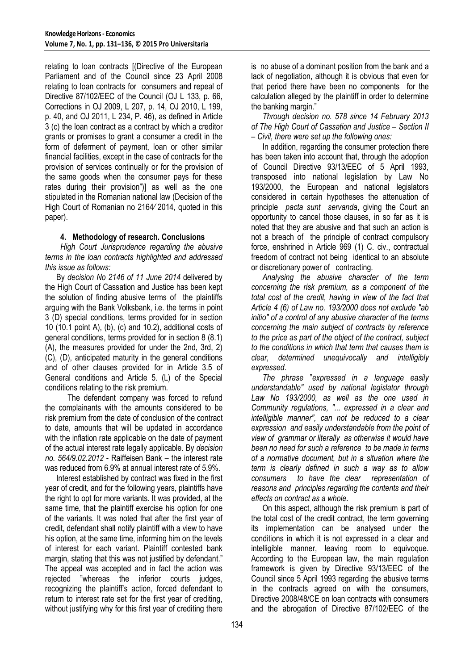relating to loan contracts [(Directive of the European Parliament and of the Council since 23 April 2008 relating to loan contracts for consumers and repeal of Directive 87/102/EEC of the Council (OJ L 133, p. 66, Corrections in OJ 2009, L 207, p. 14, OJ 2010, L 199, p. 40, and OJ 2011, L 234, P. 46), as defined in Article 3 (c) the loan contract as a contract by which a creditor grants or promises to grant a consumer a credit in the form of deferment of payment, loan or other similar financial facilities, except in the case of contracts for the provision of services continually or for the provision of the same goods when the consumer pays for these rates during their provision")] as well as the one stipulated in the Romanian national law (Decision of the High Court of Romanian no 2164∕ 2014, quoted in this paper).

## **4. Methodology of research. Conclusions**

*High Court Jurisprudence regarding the abusive terms in the loan contracts highlighted and addressed this issue as follows:* 

By *decision No 2146 of 11 June 2014* delivered by the High Court of Cassation and Justice has been kept the solution of finding abusive terms of the plaintiffs arguing with the Bank Volksbank, i.e. the terms in point 3 (D) special conditions, terms provided for in section 10 (10.1 point A), (b), (c) and 10.2), additional costs of general conditions, terms provided for in section 8 (8.1) (A), the measures provided for under the 2nd, 3rd, 2) (C), (D), anticipated maturity in the general conditions and of other clauses provided for in Article 3.5 of General conditions and Article 5. (L) of the Special conditions relating to the risk premium.

The defendant company was forced to refund the complainants with the amounts considered to be risk premium from the date of conclusion of the contract to date, amounts that will be updated in accordance with the inflation rate applicable on the date of payment of the actual interest rate legally applicable. By *decision no. 564/9.02.2012* - Raiffeisen Bank – the interest rate was reduced from 6.9% at annual interest rate of 5.9%.

Interest established by contract was fixed in the first year of credit, and for the following years, plaintiffs have the right to opt for more variants. It was provided, at the same time, that the plaintiff exercise his option for one of the variants. It was noted that after the first year of credit, defendant shall notify plaintiff with a view to have his option, at the same time, informing him on the levels of interest for each variant. Plaintiff contested bank margin, stating that this was not justified by defendant." The appeal was accepted and in fact the action was rejected "whereas the inferior courts judges, recognizing the plaintiff's action, forced defendant to return to interest rate set for the first year of crediting, without justifying why for this first year of crediting there

is no abuse of a dominant position from the bank and a lack of negotiation, although it is obvious that even for that period there have been no components for the calculation alleged by the plaintiff in order to determine the banking margin."

*Through decision no. 578 since 14 February 2013 of The High Court of Cassation and Justice – Section II – Civil, there were set up the following ones:* 

In addition, regarding the consumer protection there has been taken into account that, through the adoption of Council Directive 93/13/EEC of 5 April 1993, transposed into national legislation by Law No 193/2000, the European and national legislators considered in certain hypotheses the attenuation of principle *pacta sunt servanda*, giving the Court an opportunity to cancel those clauses, in so far as it is noted that they are abusive and that such an action is not a breach of the principle of contract compulsory force, enshrined in Article 969 (1) C. civ., contractual freedom of contract not being identical to an absolute or discretionary power of contracting.

*Analysing the abusive character of the term concerning the risk premium, as a component of the total cost of the credit, having in view of the fact that Article 4 (6) of Law no. 193/2000 does not exclude "ab initio" of a control of any abusive character of the terms concerning the main subject of contracts by reference to the price as part of the object of the contract, subject to the conditions in which that term that causes them is clear, determined unequivocally and intelligibly expressed*.

*The phrase* "*expressed in a language easily understandable" used by national legislator through Law No 193/2000, as well as the one used in Community regulations, "... expressed in a clear and intelligible manner", can not be reduced to a clear expression and easily understandable from the point of view of grammar or literally as otherwise it would have been no need for such a reference to be made in terms of a normative document, but in a situation where the term is clearly defined in such a way as to allow consumers to have the clear representation of reasons and principles regarding the contents and their effects on contract as a whole*.

On this aspect, although the risk premium is part of the total cost of the credit contract, the term governing its implementation can be analysed under the conditions in which it is not expressed in a clear and intelligible manner, leaving room to equivoque. According to the European law, the main regulation framework is given by Directive 93/13/EEC of the Council since 5 April 1993 regarding the abusive terms in the contracts agreed on with the consumers, Directive 2008/48/CE on loan contracts with consumers and the abrogation of Directive 87/102/EEC of the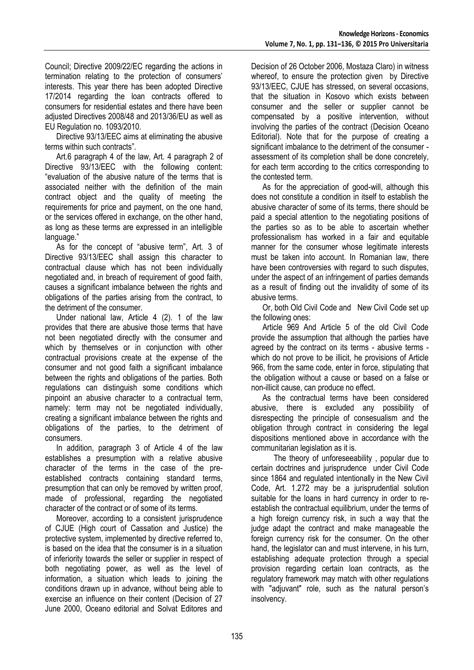Council; Directive 2009/22/EC regarding the actions in termination relating to the protection of consumers' interests. This year there has been adopted Directive 17/2014 regarding the loan contracts offered to consumers for residential estates and there have been adjusted Directives 2008/48 and 2013/36/EU as well as EU Regulation no. 1093/2010.

Directive 93/13/EEC aims at eliminating the abusive terms within such contracts".

Art.6 paragraph 4 of the law, Art. 4 paragraph 2 of Directive 93/13/EEC with the following content: "evaluation of the abusive nature of the terms that is associated neither with the definition of the main contract object and the quality of meeting the requirements for price and payment, on the one hand, or the services offered in exchange, on the other hand, as long as these terms are expressed in an intelligible language."

As for the concept of "abusive term", Art. 3 of Directive 93/13/EEC shall assign this character to contractual clause which has not been individually negotiated and, in breach of requirement of good faith, causes a significant imbalance between the rights and obligations of the parties arising from the contract, to the detriment of the consumer.

Under national law, Article 4 (2). 1 of the law provides that there are abusive those terms that have not been negotiated directly with the consumer and which by themselves or in conjunction with other contractual provisions create at the expense of the consumer and not good faith a significant imbalance between the rights and obligations of the parties. Both regulations can distinguish some conditions which pinpoint an abusive character to a contractual term, namely: term may not be negotiated individually, creating a significant imbalance between the rights and obligations of the parties, to the detriment of consumers.

In addition, paragraph 3 of Article 4 of the law establishes a presumption with a relative abusive character of the terms in the case of the preestablished contracts containing standard terms, presumption that can only be removed by written proof, made of professional, regarding the negotiated character of the contract or of some of its terms.

Moreover, according to a consistent jurisprudence of CJUE (High court of Cassation and Justice) the protective system, implemented by directive referred to, is based on the idea that the consumer is in a situation of inferiority towards the seller or supplier in respect of both negotiating power, as well as the level of information, a situation which leads to joining the conditions drawn up in advance, without being able to exercise an influence on their content (Decision of 27 June 2000, Oceano editorial and Solvat Editores and

Decision of 26 October 2006, Mostaza Claro) in witness whereof, to ensure the protection given by Directive 93/13/EEC, CJUE has stressed, on several occasions, that the situation in Kosovo which exists between consumer and the seller or supplier cannot be compensated by a positive intervention, without involving the parties of the contract (Decision Oceano Editorial). Note that for the purpose of creating a significant imbalance to the detriment of the consumer assessment of its completion shall be done concretely, for each term according to the critics corresponding to the contested term.

As for the appreciation of good-will, although this does not constitute a condition in itself to establish the abusive character of some of its terms, there should be paid a special attention to the negotiating positions of the parties so as to be able to ascertain whether professionalism has worked in a fair and equitable manner for the consumer whose legitimate interests must be taken into account. In Romanian law, there have been controversies with regard to such disputes, under the aspect of an infringement of parties demands as a result of finding out the invalidity of some of its abusive terms.

Or, both Old Civil Code and New Civil Code set up the following ones:

Article 969 And Article 5 of the old Civil Code provide the assumption that although the parties have agreed by the contract on its terms - abusive terms which do not prove to be illicit, he provisions of Article 966, from the same code, enter in force, stipulating that the obligation without a cause or based on a false or non-illicit cause, can produce no effect.

As the contractual terms have been considered abusive, there is excluded any possibility of disrespecting the principle of consesualism and the obligation through contract in considering the legal dispositions mentioned above in accordance with the communitarian legislation as it is.

The theory of unforeseeability , popular due to certain doctrines and jurisprudence under Civil Code since 1864 and regulated intentionally in the New Civil Code, Art. 1.272 may be a jurisprudential solution suitable for the loans in hard currency in order to reestablish the contractual equilibrium, under the terms of a high foreign currency risk, in such a way that the judge adapt the contract and make manageable the foreign currency risk for the consumer. On the other hand, the legislator can and must intervene, in his turn, establishing adequate protection through a special provision regarding certain loan contracts, as the regulatory framework may match with other regulations with "adjuvant" role, such as the natural person's insolvency.